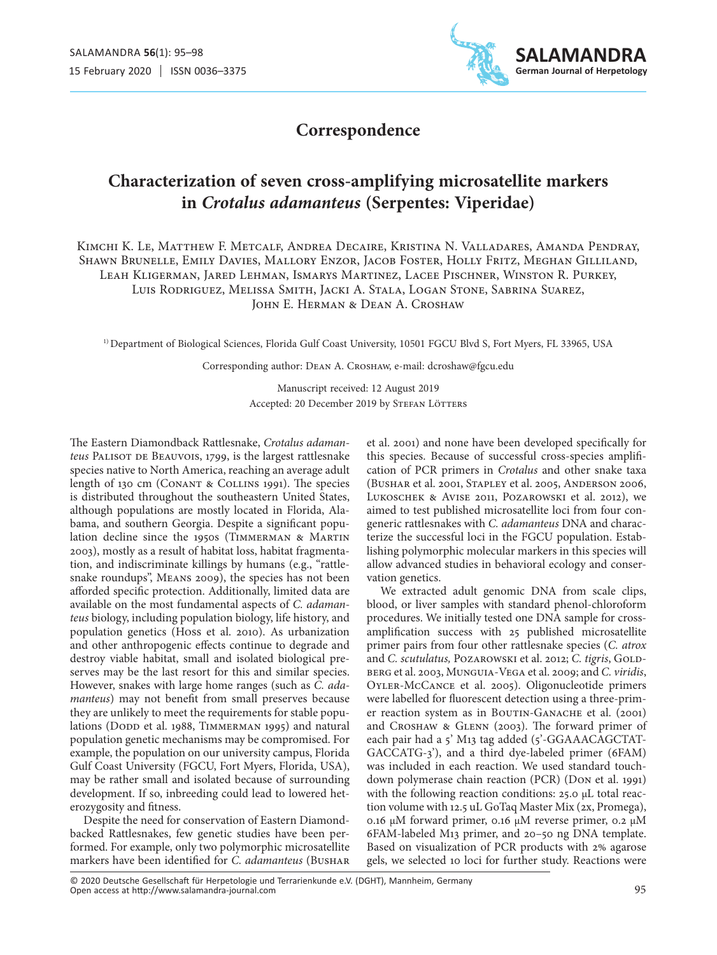

## **Correspondence**

# **Characterization of seven cross-amplifying microsatellite markers in** *Crotalus adamanteus* **(Serpentes: Viperidae)**

Kimchi K. Le, Matthew F. Metcalf, Andrea Decaire, Kristina N. Valladares, Amanda Pendray, Shawn Brunelle, Emily Davies, Mallory Enzor, Jacob Foster, Holly Fritz, Meghan Gilliland, Leah Kligerman, Jared Lehman, Ismarys Martinez, Lacee Pischner, Winston R. Purkey, Luis Rodriguez, Melissa Smith, Jacki A. Stala, Logan Stone, Sabrina Suarez, JOHN E. HERMAN & DEAN A. CROSHAW

1) Department of Biological Sciences, Florida Gulf Coast University, 10501 FGCU Blvd S, Fort Myers, FL 33965, USA

Corresponding author: Dean A. Croshaw, e-mail: dcroshaw@fgcu.edu

Manuscript received: 12 August 2019 Accepted: 20 December 2019 by STEFAN LÖTTERS

The Eastern Diamondback Rattlesnake, *Crotalus adamanteus* PALISOT DE BEAUVOIS, 1799, is the largest rattlesnake species native to North America, reaching an average adult length of 130 cm (Conant & Collins 1991). The species is distributed throughout the southeastern United States, although populations are mostly located in Florida, Alabama, and southern Georgia. Despite a significant population decline since the 1950s (Timmerman & Martin 2003), mostly as a result of habitat loss, habitat fragmentation, and indiscriminate killings by humans (e.g., "rattlesnake roundups", Means 2009), the species has not been afforded specific protection. Additionally, limited data are available on the most fundamental aspects of *C. adamanteus* biology, including population biology, life history, and population genetics (Hoss et al. 2010). As urbanization and other anthropogenic effects continue to degrade and destroy viable habitat, small and isolated biological preserves may be the last resort for this and similar species. However, snakes with large home ranges (such as *C. adamanteus*) may not benefit from small preserves because they are unlikely to meet the requirements for stable populations (DODD et al. 1988, TIMMERMAN 1995) and natural population genetic mechanisms may be compromised. For example, the population on our university campus, Florida Gulf Coast University (FGCU, Fort Myers, Florida, USA), may be rather small and isolated because of surrounding development. If so, inbreeding could lead to lowered heterozygosity and fitness.

Despite the need for conservation of Eastern Diamondbacked Rattlesnakes, few genetic studies have been performed. For example, only two polymorphic microsatellite markers have been identified for *C. adamanteus* (Bushar

et al. 2001) and none have been developed specifically for this species. Because of successful cross-species amplification of PCR primers in *Crotalus* and other snake taxa (Bushar et al. 2001, Stapley et al. 2005, Anderson 2006, Lukoschek & Avise 2011, Pozarowski et al. 2012), we aimed to test published microsatellite loci from four congeneric rattlesnakes with *C. adamanteus* DNA and characterize the successful loci in the FGCU population. Establishing polymorphic molecular markers in this species will allow advanced studies in behavioral ecology and conservation genetics.

We extracted adult genomic DNA from scale clips, blood, or liver samples with standard phenol-chloroform procedures. We initially tested one DNA sample for crossamplification success with 25 published microsatellite primer pairs from four other rattlesnake species (*C. atrox*  and *C. scutulatus*, POZAROWSKI et al. 2012; *C. tigris*, GOLDberg et al. 2003, Munguia-Vega et al. 2009; and *C. viridis*, Oyler-McCance et al. 2005). Oligonucleotide primers were labelled for fluorescent detection using a three-primer reaction system as in BOUTIN-GANACHE et al. (2001) and Croshaw & Glenn (2003). The forward primer of each pair had a 5' M13 tag added (5'-GGAAACAGCTAT-GACCATG-3'), and a third dye-labeled primer (6FAM) was included in each reaction. We used standard touchdown polymerase chain reaction (PCR) (Don et al. 1991) with the following reaction conditions: 25.0 μL total reaction volume with 12.5 uL GoTaq Master Mix (2x, Promega), 0.16 μM forward primer, 0.16 μM reverse primer, 0.2 μM 6FAM-labeled M13 primer, and 20–50 ng DNA template. Based on visualization of PCR products with 2% agarose gels, we selected 10 loci for further study. Reactions were

Open access at http://www.salamandra-journal.com © 2020 Deutsche Gesellschaft für Herpetologie und Terrarienkunde e.V. (DGHT), Mannheim, Germany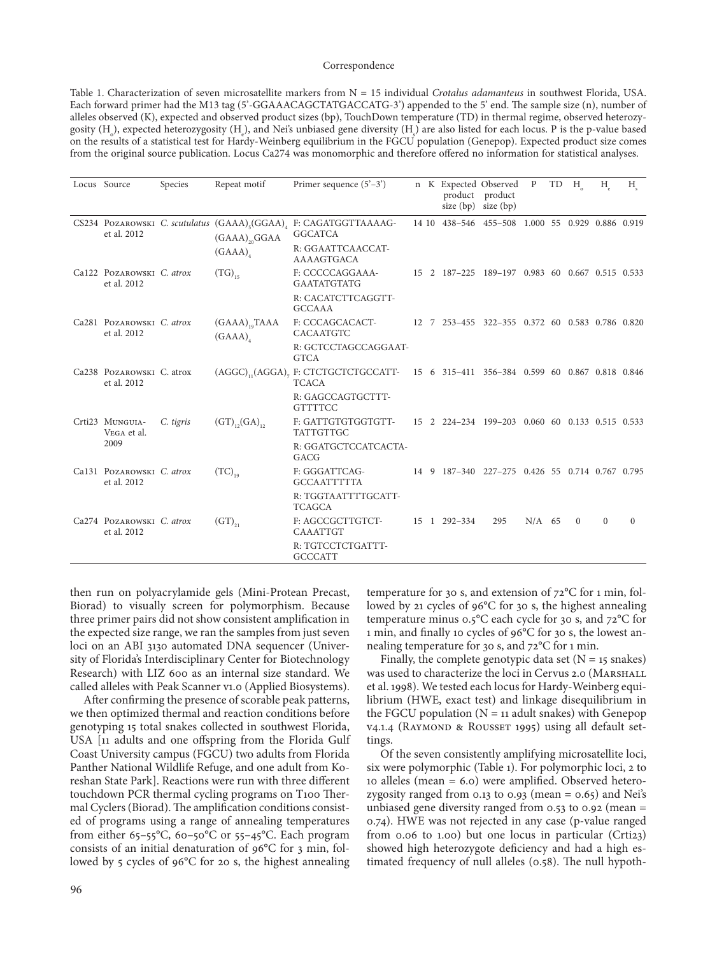#### Correspondence

Table 1. Characterization of seven microsatellite markers from N = 15 individual *Crotalus adamanteus* in southwest Florida, USA. Each forward primer had the M13 tag (5'-GGAAACAGCTATGACCATG-3') appended to the 5' end. The sample size (n), number of alleles observed (K), expected and observed product sizes (bp), TouchDown temperature (TD) in thermal regime, observed heterozygosity (H<sub>0</sub>), expected heterozygosity (H<sub>e</sub>), and Nei's unbiased gene diversity (H<sub>e</sub>) are also listed for each locus. P is the p-value based on the results of a statistical test for Hardy-Weinberg equilibrium in the FGCU population (Genepop). Expected product size comes from the original source publication. Locus Ca274 was monomorphic and therefore offered no information for statistical analyses.

|  | Locus Source                             | Species   | Repeat motif                                  | Primer sequence $(5'-3')$                                                                                   |  |  |                                                 | n K Expected Observed<br>product product<br>size $(bp)$ size $(bp)$ | $\mathbf{P}$ | TD | H        | $H_{\rho}$ | H        |
|--|------------------------------------------|-----------|-----------------------------------------------|-------------------------------------------------------------------------------------------------------------|--|--|-------------------------------------------------|---------------------------------------------------------------------|--------------|----|----------|------------|----------|
|  | et al. 2012                              |           | $(GAAA)_{20}GGAA$<br>(GAAA)                   | CS234 POZAROWSKI C. scutulatus (GAAA) <sub>s</sub> (GGAA) <sub>4</sub> F: CAGATGGTTAAAAG-<br><b>GGCATCA</b> |  |  |                                                 | 14 10 438-546 455-508 1.000 55 0.929 0.886 0.919                    |              |    |          |            |          |
|  |                                          |           |                                               | R: GGAATTCAACCAT-<br>AAAAGTGACA                                                                             |  |  |                                                 |                                                                     |              |    |          |            |          |
|  | Ca122 POZAROWSKI C. atrox<br>et al. 2012 |           | $(TG)_{15}$                                   | F: CCCCCAGGAAA-<br><b>GAATATGTATG</b>                                                                       |  |  | 15 2 187-225 189-197 0.983 60 0.667 0.515 0.533 |                                                                     |              |    |          |            |          |
|  |                                          |           |                                               | R: CACATCTTCAGGTT-<br><b>GCCAAA</b>                                                                         |  |  |                                                 |                                                                     |              |    |          |            |          |
|  | Ca281 POZAROWSKI C. atrox<br>et al. 2012 |           | $(GAAA)$ <sub>10</sub> $TAAA$<br>$(GAAA)_{4}$ | F: CCCAGCACACT-<br><b>CACAATGTC</b>                                                                         |  |  |                                                 | 12 7 253-455 322-355 0.372 60 0.583 0.786 0.820                     |              |    |          |            |          |
|  |                                          |           |                                               | R: GCTCCTAGCCAGGAAT-<br><b>GTCA</b>                                                                         |  |  |                                                 |                                                                     |              |    |          |            |          |
|  | Ca238 POZAROWSKI C. atrox<br>et al. 2012 |           |                                               | (AGGC), (AGGA), F: CTCTGCTCTGCCATT- 15 6 315-411 356-384 0.599 60 0.867 0.818 0.846<br><b>TCACA</b>         |  |  |                                                 |                                                                     |              |    |          |            |          |
|  |                                          |           |                                               | R: GAGCCAGTGCTTT-<br><b>GTTTTCC</b>                                                                         |  |  |                                                 |                                                                     |              |    |          |            |          |
|  | Crti23 MUNGUIA-<br>VEGA et al.<br>2009   | C. tigris | $(GT)_{12}(GA)_{12}$                          | F: GATTGTGTGGTGTT-<br><b>TATTGTTGC</b>                                                                      |  |  | 15 2 224-234 199-203 0.060 60 0.133 0.515 0.533 |                                                                     |              |    |          |            |          |
|  |                                          |           |                                               | R: GGATGCTCCATCACTA-<br>GACG                                                                                |  |  |                                                 |                                                                     |              |    |          |            |          |
|  | Ca131 POZAROWSKI C. atrox<br>et al. 2012 |           | $(TC)_{19}$                                   | F: GGGATTCAG-<br><b>GCCAATTTTTA</b>                                                                         |  |  |                                                 | 14 9 187-340 227-275 0.426 55 0.714 0.767 0.795                     |              |    |          |            |          |
|  |                                          |           |                                               | R: TGGTAATTTTGCATT-<br><b>TCAGCA</b>                                                                        |  |  |                                                 |                                                                     |              |    |          |            |          |
|  | Ca274 POZAROWSKI C. atrox<br>et al. 2012 |           | $(GT)_{21}$                                   | F: AGCCGCTTGTCT-<br><b>CAAATTGT</b>                                                                         |  |  | 15 1 292-334                                    | 295                                                                 | $N/A$ 65     |    | $\Omega$ | $\Omega$   | $\Omega$ |
|  |                                          |           |                                               | R: TGTCCTCTGATTT-<br><b>GCCCATT</b>                                                                         |  |  |                                                 |                                                                     |              |    |          |            |          |

then run on polyacrylamide gels (Mini-Protean Precast, Biorad) to visually screen for polymorphism. Because three primer pairs did not show consistent amplification in the expected size range, we ran the samples from just seven loci on an ABI 3130 automated DNA sequencer (University of Florida's Interdisciplinary Center for Biotechnology Research) with LIZ 600 as an internal size standard. We called alleles with Peak Scanner v1.0 (Applied Biosystems).

After confirming the presence of scorable peak patterns, we then optimized thermal and reaction conditions before genotyping 15 total snakes collected in southwest Florida, USA [11 adults and one offspring from the Florida Gulf Coast University campus (FGCU) two adults from Florida Panther National Wildlife Refuge, and one adult from Koreshan State Park]. Reactions were run with three different touchdown PCR thermal cycling programs on T100 Thermal Cyclers (Biorad). The amplification conditions consisted of programs using a range of annealing temperatures from either 65-55°C, 60-50°C or 55-45°C. Each program consists of an initial denaturation of 96°C for 3 min, followed by 5 cycles of 96°C for 20 s, the highest annealing

temperature for 30 s, and extension of 72°C for 1 min, followed by 21 cycles of 96°C for 30 s, the highest annealing temperature minus 0.5°C each cycle for 30 s, and 72°C for 1 min, and finally 10 cycles of 96°C for 30 s, the lowest annealing temperature for 30 s, and 72°C for 1 min.

Finally, the complete genotypic data set  $(N = 15$  snakes) was used to characterize the loci in Cervus 2.0 (Marshall et al. 1998). We tested each locus for Hardy-Weinberg equilibrium (HWE, exact test) and linkage disequilibrium in the FGCU population  $(N = 11$  adult snakes) with Genepop v4.1.4 (RAYMOND & ROUSSET 1995) using all default settings.

Of the seven consistently amplifying microsatellite loci, six were polymorphic (Table 1). For polymorphic loci, 2 to 10 alleles (mean = 6.0) were amplified. Observed heterozygosity ranged from 0.13 to 0.93 (mean =  $0.65$ ) and Nei's unbiased gene diversity ranged from  $0.53$  to  $0.92$  (mean = 0.74). HWE was not rejected in any case (p-value ranged from 0.06 to 1.00) but one locus in particular (Crti23) showed high heterozygote deficiency and had a high estimated frequency of null alleles (0.58). The null hypoth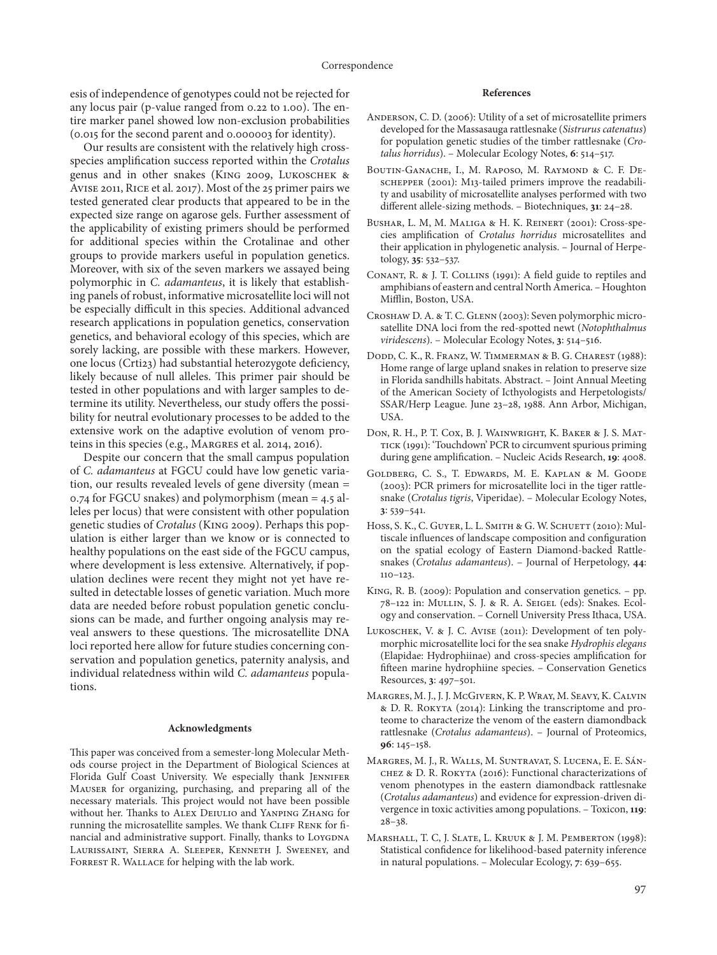esis of independence of genotypes could not be rejected for any locus pair (p-value ranged from 0.22 to 1.00). The entire marker panel showed low non-exclusion probabilities (0.015 for the second parent and 0.000003 for identity).

Our results are consistent with the relatively high crossspecies amplification success reported within the *Crotalus*  genus and in other snakes (King 2009, Lukoschek & Avise 2011, Rice et al. 2017). Most of the 25 primer pairs we tested generated clear products that appeared to be in the expected size range on agarose gels. Further assessment of the applicability of existing primers should be performed for additional species within the Crotalinae and other groups to provide markers useful in population genetics. Moreover, with six of the seven markers we assayed being polymorphic in *C. adamanteus*, it is likely that establishing panels of robust, informative microsatellite loci will not be especially difficult in this species. Additional advanced research applications in population genetics, conservation genetics, and behavioral ecology of this species, which are sorely lacking, are possible with these markers. However, one locus (Crti23) had substantial heterozygote deficiency, likely because of null alleles. This primer pair should be tested in other populations and with larger samples to determine its utility. Nevertheless, our study offers the possibility for neutral evolutionary processes to be added to the extensive work on the adaptive evolution of venom proteins in this species (e.g., Margres et al. 2014, 2016).

Despite our concern that the small campus population of *C. adamanteus* at FGCU could have low genetic variation, our results revealed levels of gene diversity (mean = 0.74 for FGCU snakes) and polymorphism (mean = 4.5 alleles per locus) that were consistent with other population genetic studies of *Crotalus* (King 2009). Perhaps this population is either larger than we know or is connected to healthy populations on the east side of the FGCU campus, where development is less extensive. Alternatively, if population declines were recent they might not yet have resulted in detectable losses of genetic variation. Much more data are needed before robust population genetic conclusions can be made, and further ongoing analysis may reveal answers to these questions. The microsatellite DNA loci reported here allow for future studies concerning conservation and population genetics, paternity analysis, and individual relatedness within wild *C. adamanteus* populations.

#### **Acknowledgments**

This paper was conceived from a semester-long Molecular Methods course project in the Department of Biological Sciences at Florida Gulf Coast University. We especially thank JENNIFER Mauser for organizing, purchasing, and preparing all of the necessary materials. This project would not have been possible without her. Thanks to Alex Deiulio and Yanping Zhang for running the microsatellite samples. We thank CLIFF RENK for financial and administrative support. Finally, thanks to LOYGDNA Laurissaint, Sierra A. Sleeper, Kenneth J. Sweeney, and FORREST R. WALLACE for helping with the lab work.

### **References**

- Anderson, C. D. (2006): Utility of a set of microsatellite primers developed for the Massasauga rattlesnake (*Sistrurus catenatus*) for population genetic studies of the timber rattlesnake (*Crotalus horridus*). – Molecular Ecology Notes, **6**: 514–517.
- Boutin-Ganache, I., M. Raposo, M. Raymond & C. F. Deschepper (2001): M13-tailed primers improve the readability and usability of microsatellite analyses performed with two different allele-sizing methods. – Biotechniques, **31**: 24–28.
- Bushar, L. M, M. Maliga & H. K. Reinert (2001): Cross-species amplification of *Crotalus horridus* microsatellites and their application in phylogenetic analysis. – Journal of Herpetology, **35**: 532–537.
- Conant, R. & J. T. Collins (1991): A field guide to reptiles and amphibians of eastern and central North America. – Houghton Mifflin, Boston, USA.
- Croshaw D. A. & T. C. Glenn (2003): Seven polymorphic microsatellite DNA loci from the red-spotted newt (*Notophthalmus viridescens*). – Molecular Ecology Notes, **3**: 514–516.
- Dodd, C. K., R. Franz, W. Timmerman & B. G. Charest (1988): Home range of large upland snakes in relation to preserve size in Florida sandhills habitats. Abstract. – Joint Annual Meeting of the American Society of Icthyologists and Herpetologists/ SSAR/Herp League. June 23–28, 1988. Ann Arbor, Michigan, USA.
- Don, R. H., P. T. Cox, B. J. Wainwright, K. Baker & J. S. Mattick (1991): 'Touchdown' PCR to circumvent spurious priming during gene amplification. – Nucleic Acids Research, **19**: 4008.
- Goldberg, C. S., T. Edwards, M. E. Kaplan & M. Goode (2003): PCR primers for microsatellite loci in the tiger rattlesnake (*Crotalus tigris*, Viperidae). – Molecular Ecology Notes, **3**: 539–541.
- Hoss, S. K., C. GUYER, L. L. SMITH & G. W. SCHUETT (2010): Multiscale influences of landscape composition and configuration on the spatial ecology of Eastern Diamond-backed Rattlesnakes (*Crotalus adamanteus*). – Journal of Herpetology, **44**: 110–123.
- King, R. B. (2009): Population and conservation genetics. pp. 78–122 in: Mullin, S. J. & R. A. Seigel (eds): Snakes. Ecology and conservation. – Cornell University Press Ithaca, USA.
- Lukoschek, V. & J. C. Avise (2011): Development of ten polymorphic microsatellite loci for the sea snake *Hydrophis elegans* (Elapidae: Hydrophiinae) and cross-species amplification for fifteen marine hydrophiine species. – Conservation Genetics Resources, **3**: 497–501.
- Margres, M. J., J. J. McGivern, K. P. Wray, M. Seavy, K. Calvin & D. R. Rokyta (2014): Linking the transcriptome and proteome to characterize the venom of the eastern diamondback rattlesnake (*Crotalus adamanteus*). – Journal of Proteomics, **96**: 145–158.
- Margres, M. J., R. Walls, M. Suntravat, S. Lucena, E. E. Sánchez & D. R. Rokyta (2016): Functional characterizations of venom phenotypes in the eastern diamondback rattlesnake (*Crotalus adamanteus*) and evidence for expression-driven divergence in toxic activities among populations. – Toxicon, **119**: 28–38.
- Marshall, T. C, J. Slate, L. Kruuk & J. M. Pemberton (1998): Statistical confidence for likelihood-based paternity inference in natural populations. – Molecular Ecology, **7**: 639–655.